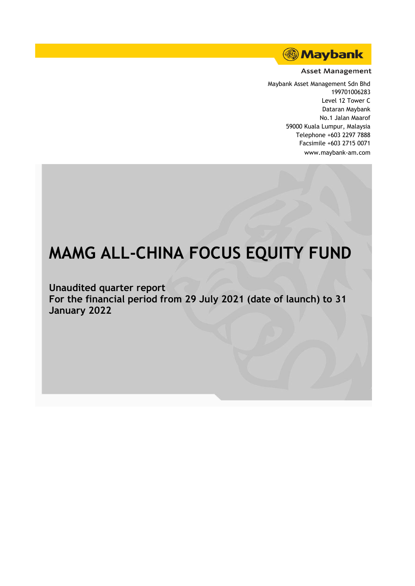

#### **Asset Management**

Maybank Asset Management Sdn Bhd 199701006283 Level 12 Tower C Dataran Maybank No.1 Jalan Maarof 59000 Kuala Lumpur, Malaysia Telephone +603 2297 7888 Facsimile +603 2715 0071 www.maybank-am.com

# **MAMG ALL-CHINA FOCUS EQUITY FUND**

**Unaudited quarter report For the financial period from 29 July 2021 (date of launch) to 31 January 2022**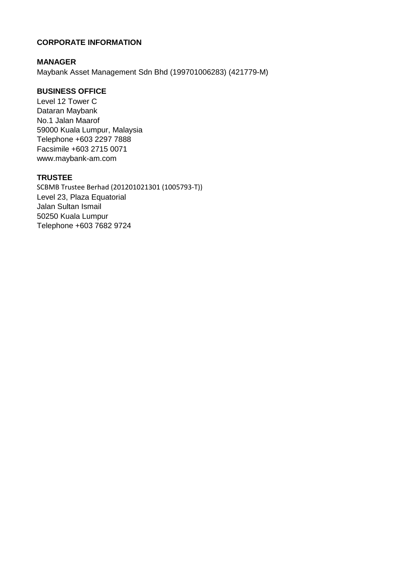# **CORPORATE INFORMATION**

## **MANAGER**

Maybank Asset Management Sdn Bhd (199701006283) (421779-M)

## **BUSINESS OFFICE**

Level 12 Tower C Dataran Maybank No.1 Jalan Maarof 59000 Kuala Lumpur, Malaysia Telephone +603 2297 7888 Facsimile +603 2715 0071 www.maybank-am.com

#### **TRUSTEE**

SCBMB Trustee Berhad (201201021301 (1005793-T)) Level 23, Plaza Equatorial Jalan Sultan Ismail 50250 Kuala Lumpur Telephone +603 7682 9724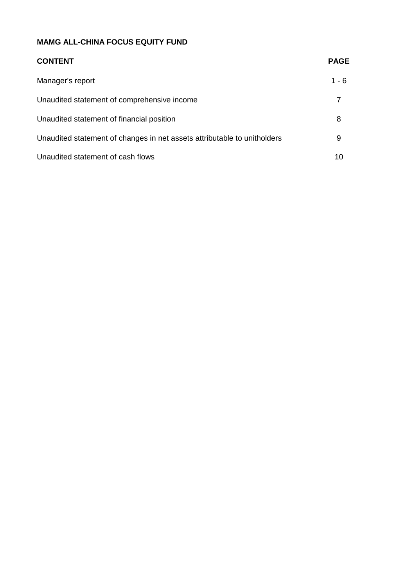| <b>CONTENT</b>                                                           | <b>PAGE</b> |
|--------------------------------------------------------------------------|-------------|
| Manager's report                                                         | $1 - 6$     |
| Unaudited statement of comprehensive income                              |             |
| Unaudited statement of financial position                                | 8           |
| Unaudited statement of changes in net assets attributable to unitholders | 9           |
| Unaudited statement of cash flows                                        | 10          |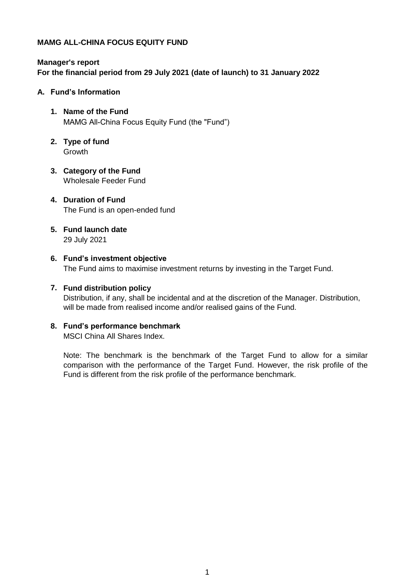# **Manager's report For the financial period from 29 July 2021 (date of launch) to 31 January 2022**

#### **A. Fund's Information**

- **1. Name of the Fund** MAMG All-China Focus Equity Fund (the "Fund")
- **2. Type of fund** Growth
- **3. Category of the Fund** Wholesale Feeder Fund

## **4. Duration of Fund** The Fund is an open-ended fund

- **5. Fund launch date** 29 July 2021
- **6. Fund's investment objective** The Fund aims to maximise investment returns by investing in the Target Fund.

## **7. Fund distribution policy**

Distribution, if any, shall be incidental and at the discretion of the Manager. Distribution, will be made from realised income and/or realised gains of the Fund.

## **8. Fund's performance benchmark**

MSCI China All Shares Index.

Note: The benchmark is the benchmark of the Target Fund to allow for a similar comparison with the performance of the Target Fund. However, the risk profile of the Fund is different from the risk profile of the performance benchmark.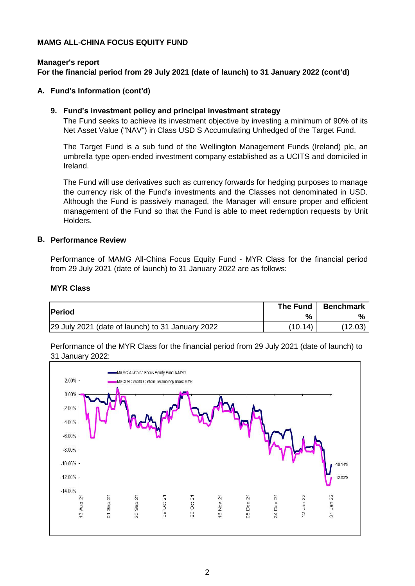#### **Manager's report For the financial period from 29 July 2021 (date of launch) to 31 January 2022 (cont'd)**

#### **A. Fund's Information (cont'd)**

#### **9. Fund's investment policy and principal investment strategy**

The Fund seeks to achieve its investment objective by investing a minimum of 90% of its Net Asset Value ("NAV") in Class USD S Accumulating Unhedged of the Target Fund.

The Target Fund is a sub fund of the Wellington Management Funds (Ireland) plc, an umbrella type open-ended investment company established as a UCITS and domiciled in Ireland.

The Fund will use derivatives such as currency forwards for hedging purposes to manage the currency risk of the Fund's investments and the Classes not denominated in USD. Although the Fund is passively managed, the Manager will ensure proper and efficient management of the Fund so that the Fund is able to meet redemption requests by Unit Holders.

#### **B. Performance Review**

Performance of MAMG All-China Focus Equity Fund - MYR Class for the financial period from 29 July 2021 (date of launch) to 31 January 2022 are as follows:

#### **MYR Class**

| Period                                           | The Fund | <b>Benchmark</b> |
|--------------------------------------------------|----------|------------------|
|                                                  | %        |                  |
| 29 July 2021 (date of launch) to 31 January 2022 | (10.14)  | (12.03)          |

Performance of the MYR Class for the financial period from 29 July 2021 (date of launch) to 31 January 2022:

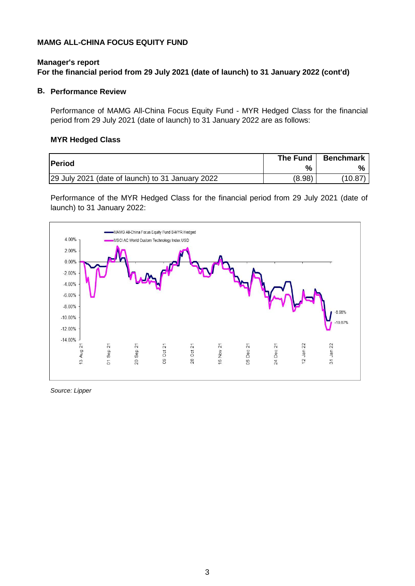## **Manager's report For the financial period from 29 July 2021 (date of launch) to 31 January 2022 (cont'd)**

#### **B. Performance Review**

Performance of MAMG All-China Focus Equity Fund - MYR Hedged Class for the financial period from 29 July 2021 (date of launch) to 31 January 2022 are as follows:

#### **MYR Hedged Class**

| <b>Period</b>                                    | The Fund | <b>Benchmark</b> |
|--------------------------------------------------|----------|------------------|
|                                                  | %        |                  |
| 29 July 2021 (date of launch) to 31 January 2022 | (8.98)   | (10.87           |

Performance of the MYR Hedged Class for the financial period from 29 July 2021 (date of launch) to 31 January 2022:



*Source: Lipper*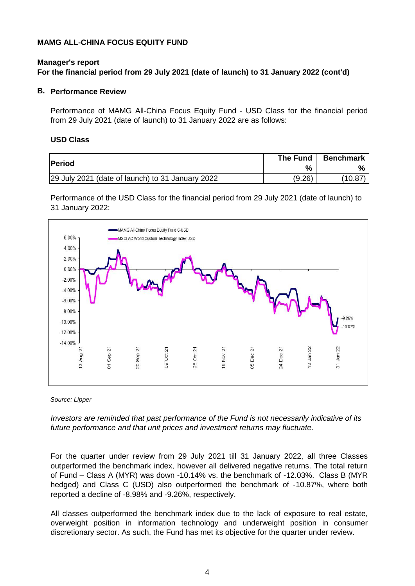## **Manager's report For the financial period from 29 July 2021 (date of launch) to 31 January 2022 (cont'd)**

#### **B. Performance Review**

Performance of MAMG All-China Focus Equity Fund - USD Class for the financial period from 29 July 2021 (date of launch) to 31 January 2022 are as follows:

#### **USD Class**

| lPeriod                                          | The Fund      | <b>Benchmark</b> |
|--------------------------------------------------|---------------|------------------|
|                                                  | $\frac{9}{6}$ |                  |
| 29 July 2021 (date of launch) to 31 January 2022 | (9.26)        | (10.87)          |

Performance of the USD Class for the financial period from 29 July 2021 (date of launch) to 31 January 2022:



*Source: Lipper*

*Investors are reminded that past performance of the Fund is not necessarily indicative of its future performance and that unit prices and investment returns may fluctuate.*

For the quarter under review from 29 July 2021 till 31 January 2022, all three Classes outperformed the benchmark index, however all delivered negative returns. The total return of Fund – Class A (MYR) was down -10.14% vs. the benchmark of -12.03%. Class B (MYR hedged) and Class C (USD) also outperformed the benchmark of -10.87%, where both reported a decline of -8.98% and -9.26%, respectively.

All classes outperformed the benchmark index due to the lack of exposure to real estate, overweight position in information technology and underweight position in consumer discretionary sector. As such, the Fund has met its objective for the quarter under review.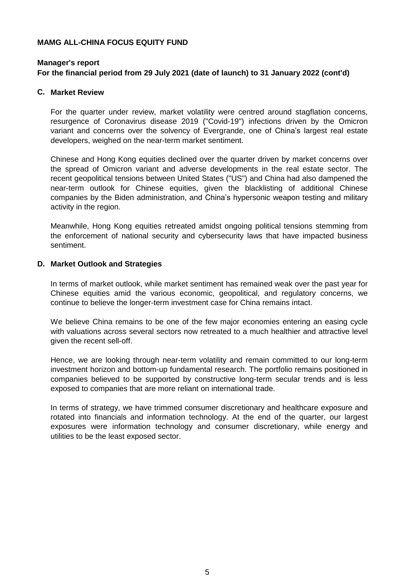#### **Manager's report For the financial period from 29 July 2021 (date of launch) to 31 January 2022 (cont'd)**

#### **C. Market Review**

For the quarter under review, market volatility were centred around stagflation concerns, resurgence of Coronavirus disease 2019 ("Covid-19") infections driven by the Omicron variant and concerns over the solvency of Evergrande, one of China's largest real estate developers, weighed on the near-term market sentiment.

Chinese and Hong Kong equities declined over the quarter driven by market concerns over the spread of Omicron variant and adverse developments in the real estate sector. The recent geopolitical tensions between United States ("US") and China had also dampened the near-term outlook for Chinese equities, given the blacklisting of additional Chinese companies by the Biden administration, and China's hypersonic weapon testing and military activity in the region.

Meanwhile, Hong Kong equities retreated amidst ongoing political tensions stemming from the enforcement of national security and cybersecurity laws that have impacted business sentiment.

#### **D. Market Outlook and Strategies**

In terms of market outlook, while market sentiment has remained weak over the past year for Chinese equities amid the various economic, geopolitical, and regulatory concerns, we continue to believe the longer-term investment case for China remains intact.

We believe China remains to be one of the few major economies entering an easing cycle with valuations across several sectors now retreated to a much healthier and attractive level given the recent sell-off.

Hence, we are looking through near-term volatility and remain committed to our long-term investment horizon and bottom-up fundamental research. The portfolio remains positioned in companies believed to be supported by constructive long-term secular trends and is less exposed to companies that are more reliant on international trade.

In terms of strategy, we have trimmed consumer discretionary and healthcare exposure and rotated into financials and information technology. At the end of the quarter, our largest exposures were information technology and consumer discretionary, while energy and utilities to be the least exposed sector.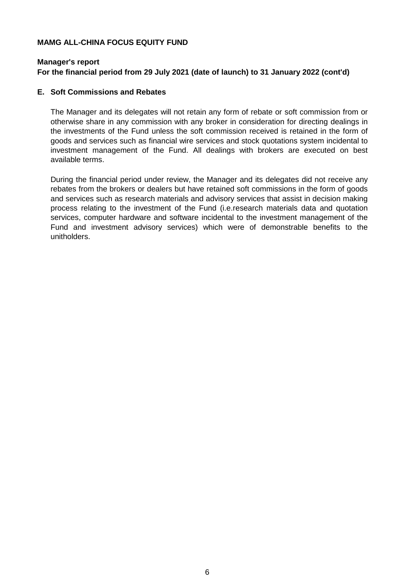## **Manager's report**

## **For the financial period from 29 July 2021 (date of launch) to 31 January 2022 (cont'd)**

#### **E. Soft Commissions and Rebates**

The Manager and its delegates will not retain any form of rebate or soft commission from or otherwise share in any commission with any broker in consideration for directing dealings in the investments of the Fund unless the soft commission received is retained in the form of goods and services such as financial wire services and stock quotations system incidental to investment management of the Fund. All dealings with brokers are executed on best available terms.

During the financial period under review, the Manager and its delegates did not receive any rebates from the brokers or dealers but have retained soft commissions in the form of goods and services such as research materials and advisory services that assist in decision making process relating to the investment of the Fund (i.e.research materials data and quotation services, computer hardware and software incidental to the investment management of the Fund and investment advisory services) which were of demonstrable benefits to the unitholders.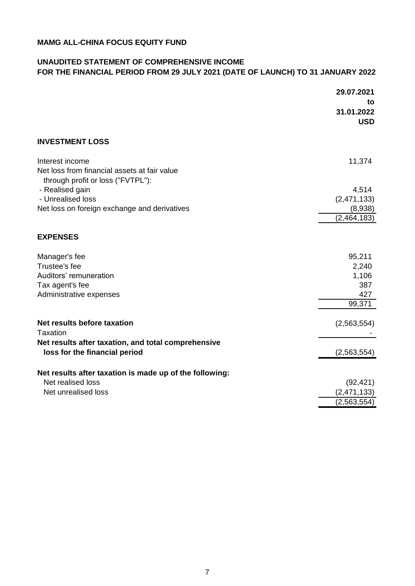## **UNAUDITED STATEMENT OF COMPREHENSIVE INCOME FOR THE FINANCIAL PERIOD FROM 29 JULY 2021 (DATE OF LAUNCH) TO 31 JANUARY 2022**

|                                                         | 29.07.2021  |
|---------------------------------------------------------|-------------|
|                                                         | to          |
|                                                         | 31.01.2022  |
|                                                         | <b>USD</b>  |
| <b>INVESTMENT LOSS</b>                                  |             |
| Interest income                                         | 11,374      |
| Net loss from financial assets at fair value            |             |
| through profit or loss ("FVTPL"):                       |             |
| - Realised gain                                         | 4,514       |
| - Unrealised loss                                       | (2,471,133) |
| Net loss on foreign exchange and derivatives            | (8,938)     |
|                                                         | (2,464,183) |
| <b>EXPENSES</b>                                         |             |
| Manager's fee                                           | 95,211      |
| Trustee's fee                                           | 2,240       |
| Auditors' remuneration                                  | 1,106       |
| Tax agent's fee                                         | 387         |
| Administrative expenses                                 | 427         |
|                                                         | 99,371      |
| Net results before taxation                             | (2,563,554) |
| Taxation                                                |             |
| Net results after taxation, and total comprehensive     |             |
| loss for the financial period                           | (2,563,554) |
| Net results after taxation is made up of the following: |             |
| Net realised loss                                       | (92, 421)   |
| Net unrealised loss                                     | (2,471,133) |
|                                                         | (2,563,554) |
|                                                         |             |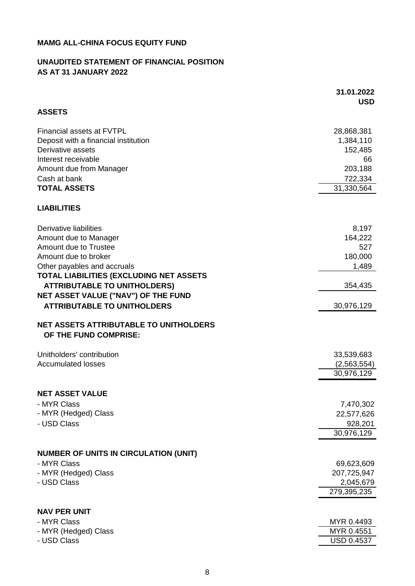## **UNAUDITED STATEMENT OF FINANCIAL POSITION AS AT 31 JANUARY 2022**

|                                                                                                                                                             | 31.01.2022<br><b>USD</b>                              |
|-------------------------------------------------------------------------------------------------------------------------------------------------------------|-------------------------------------------------------|
| <b>ASSETS</b>                                                                                                                                               |                                                       |
| Financial assets at FVTPL<br>Deposit with a financial institution<br>Derivative assets<br>Interest receivable                                               | 28,868,381<br>1,384,110<br>152,485<br>66              |
| Amount due from Manager<br>Cash at bank                                                                                                                     | 203,188<br>722,334                                    |
| <b>TOTAL ASSETS</b>                                                                                                                                         | 31,330,564                                            |
| <b>LIABILITIES</b>                                                                                                                                          |                                                       |
| Derivative liabilities<br>Amount due to Manager<br>Amount due to Trustee<br>Amount due to broker<br>Other payables and accruals                             | 8,197<br>164,222<br>527<br>180,000<br>1,489           |
| TOTAL LIABILITIES (EXCLUDING NET ASSETS<br><b>ATTRIBUTABLE TO UNITHOLDERS)</b><br>NET ASSET VALUE ("NAV") OF THE FUND<br><b>ATTRIBUTABLE TO UNITHOLDERS</b> | 354,435<br>30,976,129                                 |
| <b>NET ASSETS ATTRIBUTABLE TO UNITHOLDERS</b><br>OF THE FUND COMPRISE:                                                                                      |                                                       |
| Unitholders' contribution<br><b>Accumulated losses</b>                                                                                                      | 33,539,683<br>(2,563,554)<br>30,976,129               |
| <b>NET ASSET VALUE</b>                                                                                                                                      |                                                       |
| - MYR Class<br>- MYR (Hedged) Class<br>- USD Class                                                                                                          | 7,470,302<br>22,577,626<br>928,201<br>30,976,129      |
| <b>NUMBER OF UNITS IN CIRCULATION (UNIT)</b>                                                                                                                |                                                       |
| - MYR Class<br>- MYR (Hedged) Class<br>- USD Class                                                                                                          | 69,623,609<br>207,725,947<br>2,045,679<br>279,395,235 |
| <b>NAV PER UNIT</b>                                                                                                                                         |                                                       |
| - MYR Class<br>- MYR (Hedged) Class<br>- USD Class                                                                                                          | MYR 0.4493<br>MYR 0.4551<br>USD 0.4537                |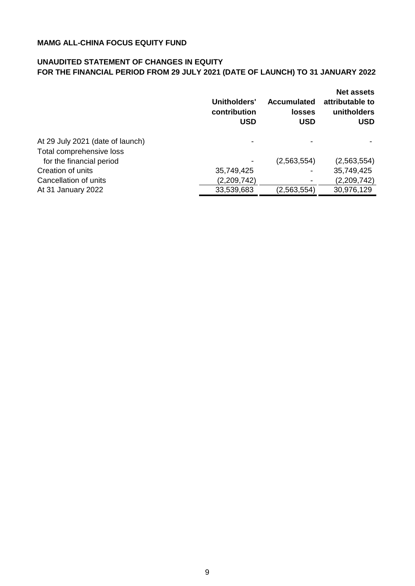## **UNAUDITED STATEMENT OF CHANGES IN EQUITY FOR THE FINANCIAL PERIOD FROM 29 JULY 2021 (DATE OF LAUNCH) TO 31 JANUARY 2022**

|                                  | Unitholders'<br>contribution<br><b>USD</b> | <b>Accumulated</b><br><b>losses</b><br><b>USD</b> | <b>Net assets</b><br>attributable to<br>unitholders<br><b>USD</b> |
|----------------------------------|--------------------------------------------|---------------------------------------------------|-------------------------------------------------------------------|
| At 29 July 2021 (date of launch) |                                            |                                                   |                                                                   |
| Total comprehensive loss         |                                            |                                                   |                                                                   |
| for the financial period         |                                            | (2,563,554)                                       | (2,563,554)                                                       |
| Creation of units                | 35,749,425                                 |                                                   | 35,749,425                                                        |
| Cancellation of units            | (2,209,742)                                |                                                   | (2,209,742)                                                       |
| At 31 January 2022               | 33,539,683                                 | (2,563,554)                                       | 30,976,129                                                        |